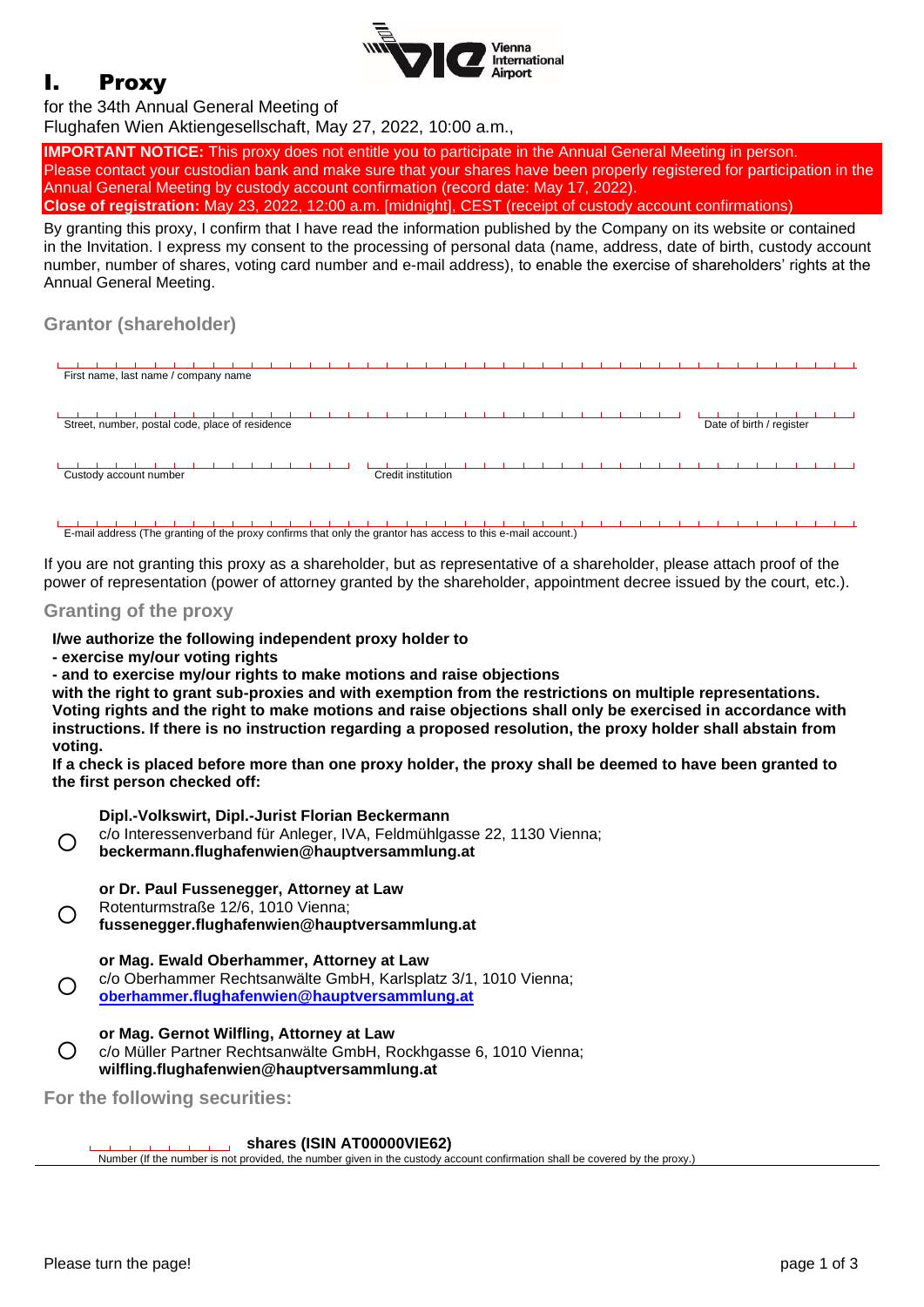

# I. Proxy

#### for the 34th Annual General Meeting of

Flughafen Wien Aktiengesellschaft, May 27, 2022, 10:00 a.m.,

**IMPORTANT NOTICE:** This proxy does not entitle you to participate in the Annual General Meeting in person. Please contact your custodian bank and make sure that your shares have been properly registered for participation in the Annual General Meeting by custody account confirmation (record date: May 17, 2022). **Close of registration:** May 23, 2022, 12:00 a.m. [midnight], CEST (receipt of custody account confirmations)

By granting this proxy, I confirm that I have read the information published by the Company on its website or contained in the Invitation. I express my consent to the processing of personal data (name, address, date of birth, custody account number, number of shares, voting card number and e-mail address), to enable the exercise of shareholders' rights at the Annual General Meeting.

## **Grantor (shareholder)**



E-mail address (The granting of the proxy confirms that only the grantor has access to this e-mail account.)

If you are not granting this proxy as a shareholder, but as representative of a shareholder, please attach proof of the power of representation (power of attorney granted by the shareholder, appointment decree issued by the court, etc.).

### **Granting of the proxy**

#### **I/we authorize the following independent proxy holder to**

**- exercise my/our voting rights**

**- and to exercise my/our rights to make motions and raise objections**

**with the right to grant sub-proxies and with exemption from the restrictions on multiple representations. Voting rights and the right to make motions and raise objections shall only be exercised in accordance with instructions. If there is no instruction regarding a proposed resolution, the proxy holder shall abstain from voting.**

**If a check is placed before more than one proxy holder, the proxy shall be deemed to have been granted to the first person checked off:**

### **Dipl.-Volkswirt, Dipl.-Jurist Florian Beckermann**

- c/o Interessenverband für Anleger, IVA, Feldmühlgasse 22, 1130 Vienna;
- ∩ **[beckermann.flughafenwien@hauptversammlung.at](mailto:beckermann.flughafenwien@hauptversammlung.at)**
	- **or Dr. Paul Fussenegger, Attorney at Law**
	- Rotenturmstraße 12/6, 1010 Vienna;
- ◯ **[fussenegger.flughafenwien@hauptversammlung.at](mailto:fussenegger.flughafenwien@hauptversammlung.at)**

#### **or Mag. Ewald Oberhammer, Attorney at Law**

- ( ) c/o Oberhammer Rechtsanwälte GmbH, Karlsplatz 3/1, 1010 Vienna;
- **oberhammer[.flughafenwien@hauptversammlung.at](mailto:oberhammer.flughafenwien@hauptversammlung.at)**

#### **or Mag. Gernot Wilfling, Attorney at Law**

c/o Müller Partner Rechtsanwälte GmbH, Rockhgasse 6, 1010 Vienna; **wilfling.flughafenwien@hauptversammlung.at**

**For the following securities:**

**shares (ISIN AT00000VIE62)**

**COLLECT** Number (If the number is not provided, the number given in the custody account confirmation shall be covered by the proxy.)

 $\bigcap$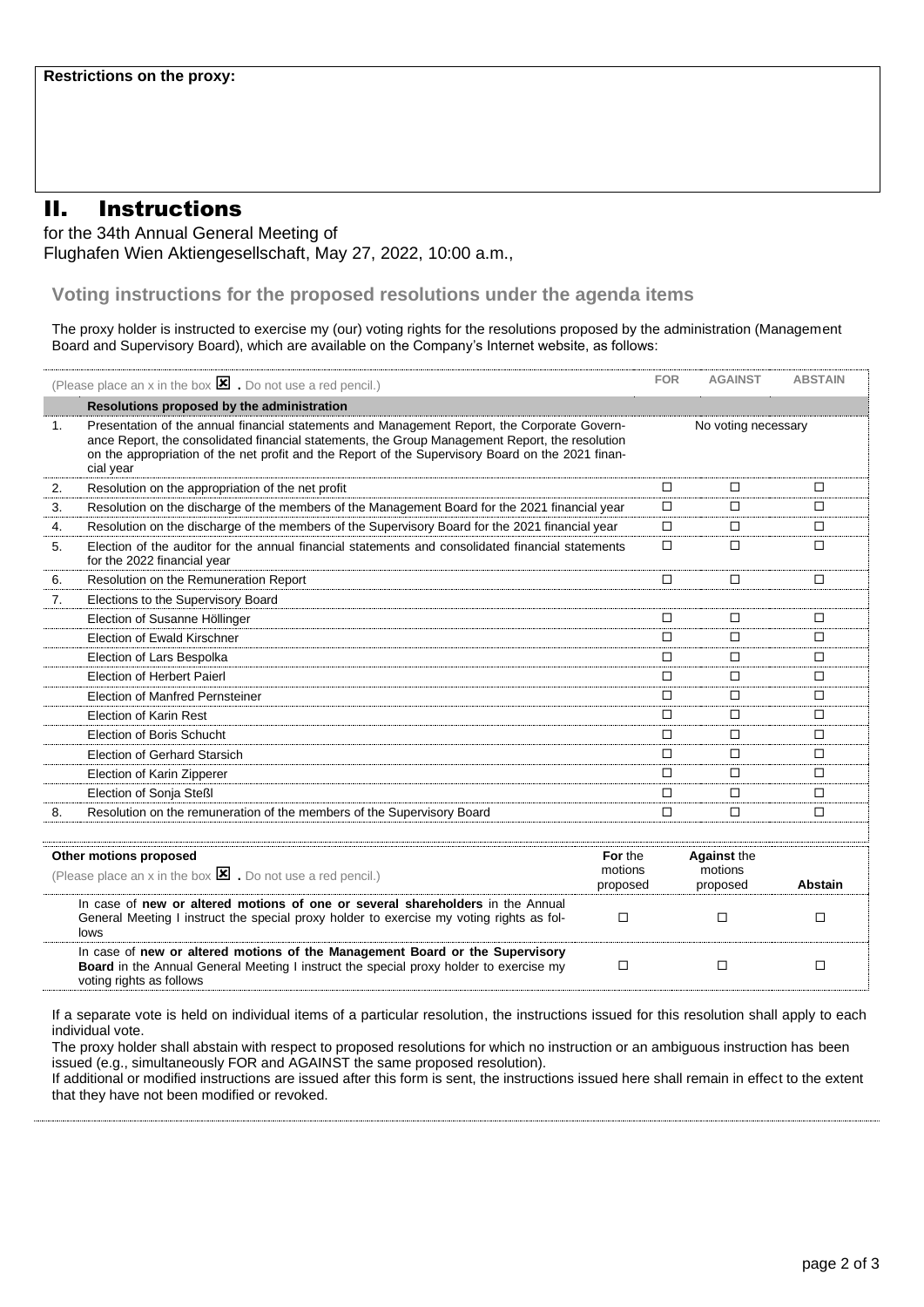## II. Instructions

for the 34th Annual General Meeting of Flughafen Wien Aktiengesellschaft, May 27, 2022, 10:00 a.m.,

**Voting instructions for the proposed resolutions under the agenda items** 

The proxy holder is instructed to exercise my (our) voting rights for the resolutions proposed by the administration (Management Board and Supervisory Board), which are available on the Company's Internet website, as follows:

|    | (Please place an x in the box $\mathbf{\Sigma}$ . Do not use a red pencil.)                                                                                                                                                                                                                                       | <b>FOR</b>                     | <b>AGAINST</b>                            | <b>ABSTAIN</b> |
|----|-------------------------------------------------------------------------------------------------------------------------------------------------------------------------------------------------------------------------------------------------------------------------------------------------------------------|--------------------------------|-------------------------------------------|----------------|
|    | Resolutions proposed by the administration                                                                                                                                                                                                                                                                        |                                |                                           |                |
| 1. | Presentation of the annual financial statements and Management Report, the Corporate Govern-<br>ance Report, the consolidated financial statements, the Group Management Report, the resolution<br>on the appropriation of the net profit and the Report of the Supervisory Board on the 2021 finan-<br>cial year |                                | No voting necessary                       |                |
| 2. | Resolution on the appropriation of the net profit                                                                                                                                                                                                                                                                 | □                              | □                                         | □              |
| 3. | Resolution on the discharge of the members of the Management Board for the 2021 financial year                                                                                                                                                                                                                    | □                              | □                                         | □              |
| 4. | Resolution on the discharge of the members of the Supervisory Board for the 2021 financial year                                                                                                                                                                                                                   | $\Box$                         | □                                         | □              |
| 5. | Election of the auditor for the annual financial statements and consolidated financial statements<br>for the 2022 financial year                                                                                                                                                                                  | □                              | □                                         | □              |
| 6. | Resolution on the Remuneration Report                                                                                                                                                                                                                                                                             | □                              | □                                         | □              |
| 7. | Elections to the Supervisory Board                                                                                                                                                                                                                                                                                |                                |                                           |                |
|    | Election of Susanne Höllinger                                                                                                                                                                                                                                                                                     | $\Box$                         | □                                         | □              |
|    | Election of Ewald Kirschner                                                                                                                                                                                                                                                                                       | □                              | □                                         | □              |
|    | Election of Lars Bespolka                                                                                                                                                                                                                                                                                         | $\Box$                         | $\Box$                                    | □              |
|    | Election of Herbert Paierl                                                                                                                                                                                                                                                                                        | $\Box$                         | □                                         | □              |
|    | <b>Election of Manfred Pernsteiner</b>                                                                                                                                                                                                                                                                            | П                              | □                                         | □              |
|    | Election of Karin Rest                                                                                                                                                                                                                                                                                            | П                              | П                                         | П              |
|    | Election of Boris Schucht                                                                                                                                                                                                                                                                                         | $\Box$                         | □                                         | □              |
|    | Election of Gerhard Starsich                                                                                                                                                                                                                                                                                      | □                              | □                                         | □              |
|    | Election of Karin Zipperer                                                                                                                                                                                                                                                                                        | П                              | П                                         | П              |
|    | Election of Sonja Steßl                                                                                                                                                                                                                                                                                           | П                              | п                                         | □              |
| 8. | Resolution on the remuneration of the members of the Supervisory Board                                                                                                                                                                                                                                            | $\Box$                         | □                                         | $\Box$         |
|    |                                                                                                                                                                                                                                                                                                                   |                                |                                           |                |
|    | Other motions proposed<br>(Please place an x in the box $\mathbf{\Sigma}$ . Do not use a red pencil.)                                                                                                                                                                                                             | For the<br>motions<br>proposed | <b>Against the</b><br>motions<br>proposed | Abstain        |
|    | In case of new or altered motions of one or several shareholders in the Annual<br>General Meeting I instruct the special proxy holder to exercise my voting rights as fol-<br>lows                                                                                                                                | $\Box$                         | □                                         | □              |
|    | In case of new or altered motions of the Management Board or the Supervisory<br><b>Board</b> in the Annual General Meeting I instruct the special proxy holder to exercise my<br>voting rights as follows                                                                                                         | $\Box$                         | □                                         | □              |

If a separate vote is held on individual items of a particular resolution, the instructions issued for this resolution shall apply to each individual vote.

The proxy holder shall abstain with respect to proposed resolutions for which no instruction or an ambiguous instruction has been issued (e.g., simultaneously FOR and AGAINST the same proposed resolution).

If additional or modified instructions are issued after this form is sent, the instructions issued here shall remain in effect to the extent that they have not been modified or revoked.